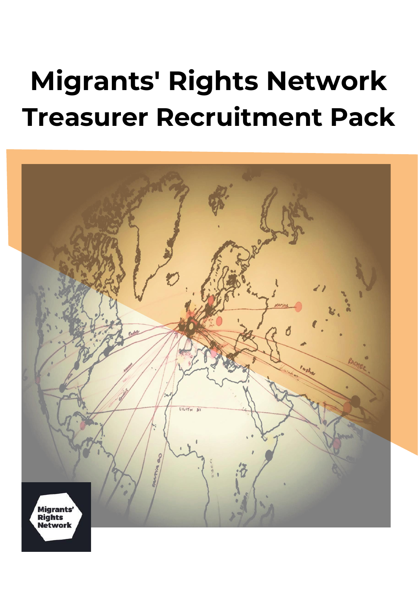# **Migrants' Rights Network Treasurer Recruitment Pack**

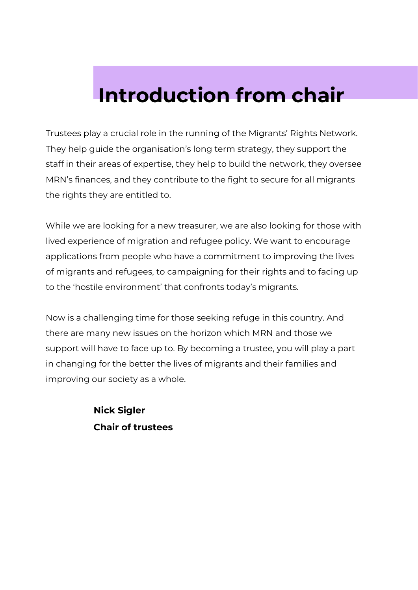## **Introduction from chair**

Trustees play a crucial role in the running of the Migrants' Rights Network. They help guide the organisation's long term strategy, they support the staff in their areas of expertise, they help to build the network, they oversee MRN's finances, and they contribute to the fight to secure for all migrants the rights they are entitled to.

While we are looking for a new treasurer, we are also looking for those with lived experience of migration and refugee policy. We want to encourage applications from people who have a commitment to improving the lives of migrants and refugees, to campaigning for their rights and to facing up to the 'hostile environment' that confronts today's migrants.

Now is a challenging time for those seeking refuge in this country. And there are many new issues on the horizon which MRN and those we support will have to face up to. By becoming a trustee, you will play a part in changing for the better the lives of migrants and their families and improving our society as a whole.

> **Nick Sigler Chair of trustees**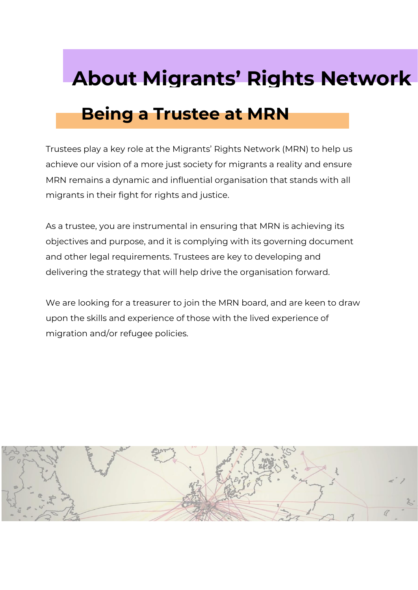## **About Migrants' Rights Network**

## **Being a Trustee at MRN**

Trustees play a key role at the Migrants' Rights Network (MRN) to help us achieve our vision of a more just society for migrants a reality and ensure MRN remains a dynamic and influential organisation that stands with all migrants in their fight for rights and justice.

As a trustee, you are instrumental in ensuring that MRN is achieving its objectives and purpose, and it is complying with its governing document and other legal requirements. Trustees are key to developing and delivering the strategy that will help drive the organisation forward.

We are looking for a treasurer to join the MRN board, and are keen to draw upon the skills and experience of those with the lived experience of migration and/or refugee policies.

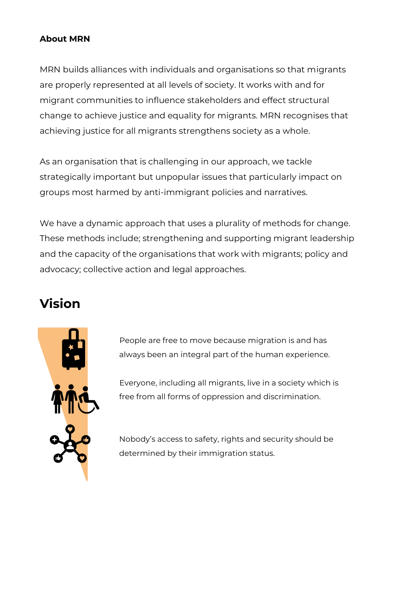#### **About MRN**

MRN builds alliances with individuals and organisations so that migrants are properly represented at all levels of society. It works with and for migrant communities to influence stakeholders and effect structural change to achieve justice and equality for migrants. MRN recognises that achieving justice for all migrants strengthens society as a whole.

As an organisation that is challenging in our approach, we tackle strategically important but unpopular issues that particularly impact on groups most harmed by anti-immigrant policies and narratives.

We have a dynamic approach that uses a plurality of methods for change. These methods include; strengthening and supporting migrant leadership and the capacity of the organisations that work with migrants; policy and advocacy; collective action and legal approaches.

### **Vision**



People are free to move because migration is and has always been an integral part of the human experience.

Everyone, including all migrants, live in a society which is free from all forms of oppression and discrimination.

Nobody's access to safety, rights and security should be determined by their immigration status.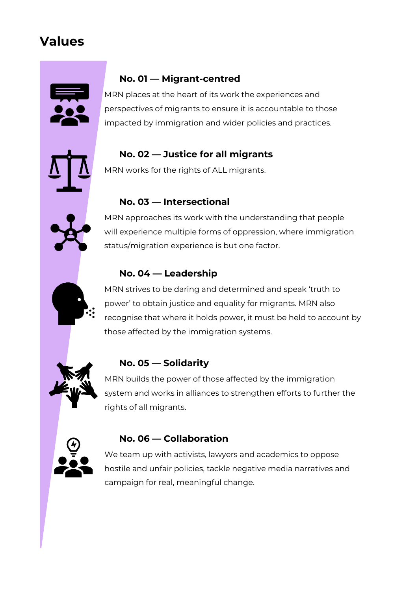### **Values**



#### **No. 01 — Migrant-centred**

MRN places at the heart of its work the experiences and perspectives of migrants to ensure it is accountable to those impacted by immigration and wider policies and practices.

#### **No. 02 — Justice for all migrants**

MRN works for the rights of ALL migrants.

#### **No. 03 — Intersectional**

MRN approaches its work with the understanding that people will experience multiple forms of oppression, where immigration status/migration experience is but one factor.

#### **No. 04 — Leadership**

MRN strives to be daring and determined and speak 'truth to power' to obtain justice and equality for migrants. MRN also recognise that where it holds power, it must be held to account by those affected by the immigration systems.



#### **No. 05 — Solidarity**

MRN builds the power of those affected by the immigration system and works in alliances to strengthen efforts to further the rights of all migrants.



#### **No. 06 — Collaboration**

We team up with activists, lawyers and academics to oppose hostile and unfair policies, tackle negative media narratives and campaign for real, meaningful change.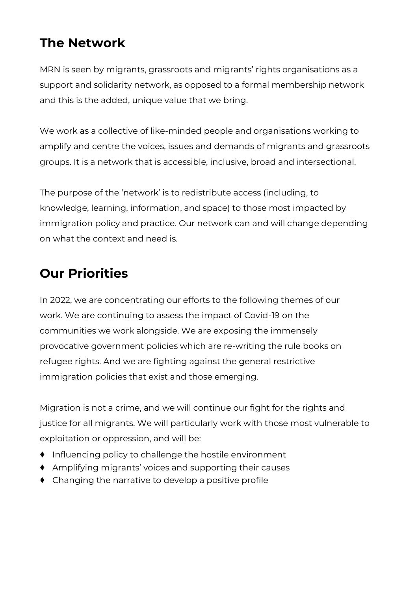### **The Network**

MRN is seen by migrants, grassroots and migrants' rights organisations as a support and solidarity network, as opposed to a formal membership network and this is the added, unique value that we bring.

We work as a collective of like-minded people and organisations working to amplify and centre the voices, issues and demands of migrants and grassroots groups. It is a network that is accessible, inclusive, broad and intersectional.

The purpose of the 'network' is to redistribute access (including, to knowledge, learning, information, and space) to those most impacted by immigration policy and practice. Our network can and will change depending on what the context and need is.

### **Our Priorities**

In 2022, we are concentrating our efforts to the following themes of our work. We are continuing to assess the impact of Covid-19 on the communities we work alongside. We are exposing the immensely provocative government policies which are re-writing the rule books on refugee rights. And we are fighting against the general restrictive immigration policies that exist and those emerging.

Migration is not a crime, and we will continue our fight for the rights and justice for all migrants. We will particularly work with those most vulnerable to exploitation or oppression, and will be:

- ♦ Influencing policy to challenge the hostile environment
- ♦ Amplifying migrants' voices and supporting their causes
- ♦ Changing the narrative to develop a positive profile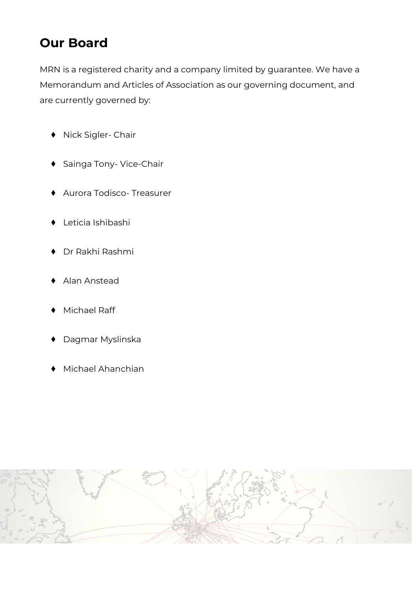### **Our Board**

MRN is a registered charity and a company limited by guarantee. We have a Memorandum and Articles of Association as our governing document, and are currently governed by:

- Nick Sigler- Chair
- ♦ Sainga Tony- Vice-Chair
- Aurora Todisco- Treasurer
- Leticia Ishibashi
- Dr Rakhi Rashmi
- Alan Anstead
- Michael Raff
- Dagmar Myslinska
- Michael Ahanchian

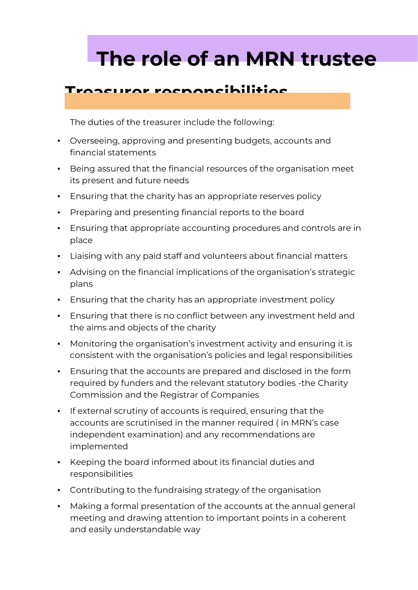## **The role of an MRN trustee**

#### **Treasurer responsibilities**

The duties of the treasurer include the following:

- Overseeing, approving and presenting budgets, accounts and financial statements
- Being assured that the financial resources of the organisation meet its present and future needs
- **Ensuring that the charity has an appropriate reserves policy**
- Preparing and presenting financial reports to the board
- **Ensuring that appropriate accounting procedures and controls are in** place
- Liaising with any paid staff and volunteers about financial matters
- Advising on the financial implications of the organisation's strategic plans
- **Ensuring that the charity has an appropriate investment policy**
- **Ensuring that there is no conflict between any investment held and** the aims and objects of the charity
- Monitoring the organisation's investment activity and ensuring it is consistent with the organisation's policies and legal responsibilities
- **Ensuring that the accounts are prepared and disclosed in the form** required by funders and the relevant statutory bodies -the Charity Commission and the Registrar of Companies
- If external scrutiny of accounts is required, ensuring that the accounts are scrutinised in the manner required ( in MRN's case independent examination) and any recommendations are implemented
- Keeping the board informed about its financial duties and responsibilities
- Contributing to the fundraising strategy of the organisation
- Making a formal presentation of the accounts at the annual general meeting and drawing attention to important points in a coherent and easily understandable way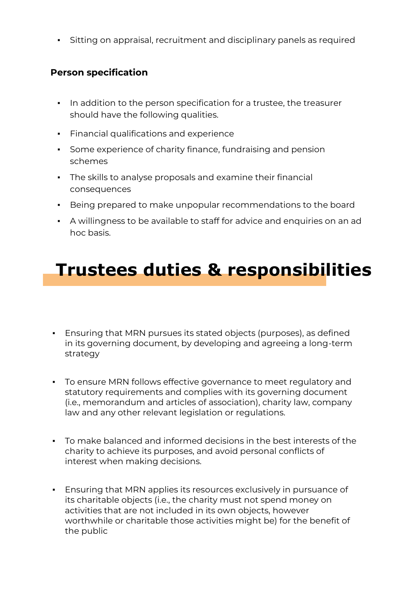**EXECT** Sitting on appraisal, recruitment and disciplinary panels as required

#### **Person specification**

- In addition to the person specification for a trustee, the treasurer should have the following qualities.
- Financial qualifications and experience
- Some experience of charity finance, fundraising and pension schemes
- The skills to analyse proposals and examine their financial consequences
- Being prepared to make unpopular recommendations to the board
- A willingness to be available to staff for advice and enquiries on an ad hoc basis.

## **Trustees duties & responsibilities**

- **Ensuring that MRN pursues its stated objects (purposes), as defined** in its governing document, by developing and agreeing a long-term strategy
- To ensure MRN follows effective governance to meet regulatory and statutory requirements and complies with its governing document (i.e., memorandum and articles of association), charity law, company law and any other relevant legislation or regulations.
- To make balanced and informed decisions in the best interests of the charity to achieve its purposes, and avoid personal conflicts of interest when making decisions.
- **Ensuring that MRN applies its resources exclusively in pursuance of** its charitable objects (i.e., the charity must not spend money on activities that are not included in its own objects, however worthwhile or charitable those activities might be) for the benefit of the public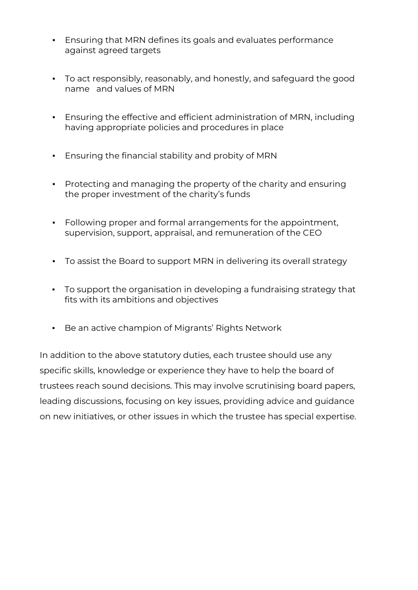- **Ensuring that MRN defines its goals and evaluates performance** against agreed targets
- To act responsibly, reasonably, and honestly, and safeguard the good name and values of MRN
- Ensuring the effective and efficient administration of MRN, including having appropriate policies and procedures in place
- Ensuring the financial stability and probity of MRN
- Protecting and managing the property of the charity and ensuring the proper investment of the charity's funds
- Following proper and formal arrangements for the appointment, supervision, support, appraisal, and remuneration of the CEO
- To assist the Board to support MRN in delivering its overall strategy
- To support the organisation in developing a fundraising strategy that fits with its ambitions and objectives
- Be an active champion of Migrants' Rights Network

In addition to the above statutory duties, each trustee should use any specific skills, knowledge or experience they have to help the board of trustees reach sound decisions. This may involve scrutinising board papers, leading discussions, focusing on key issues, providing advice and guidance on new initiatives, or other issues in which the trustee has special expertise.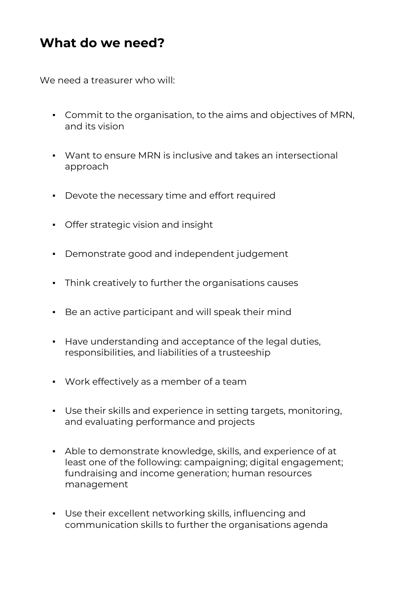### **What do we need?**

We need a treasurer who will:

- Commit to the organisation, to the aims and objectives of MRN, and its vision
- Want to ensure MRN is inclusive and takes an intersectional approach
- Devote the necessary time and effort required
- **•** Offer strategic vision and insight
- Demonstrate good and independent judgement
- Think creatively to further the organisations causes
- Be an active participant and will speak their mind
- Have understanding and acceptance of the legal duties, responsibilities, and liabilities of a trusteeship
- Work effectively as a member of a team
- Use their skills and experience in setting targets, monitoring, and evaluating performance and projects
- Able to demonstrate knowledge, skills, and experience of at least one of the following: campaigning; digital engagement; fundraising and income generation; human resources management
- Use their excellent networking skills, influencing and communication skills to further the organisations agenda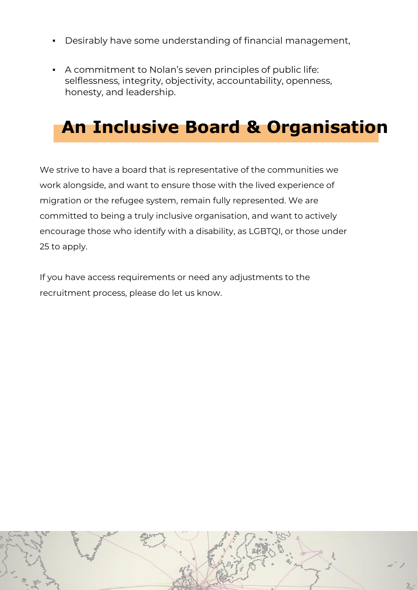- Desirably have some understanding of financial management,
- A commitment to Nolan's seven principles of public life: selflessness, integrity, objectivity, accountability, openness, honesty, and leadership.

## **An Inclusive Board & Organisation**

We strive to have a board that is representative of the communities we work alongside, and want to ensure those with the lived experience of migration or the refugee system, remain fully represented. We are committed to being a truly inclusive organisation, and want to actively encourage those who identify with a disability, as LGBTQI, or those under 25 to apply.

If you have access requirements or need any adjustments to the recruitment process, please do let us know.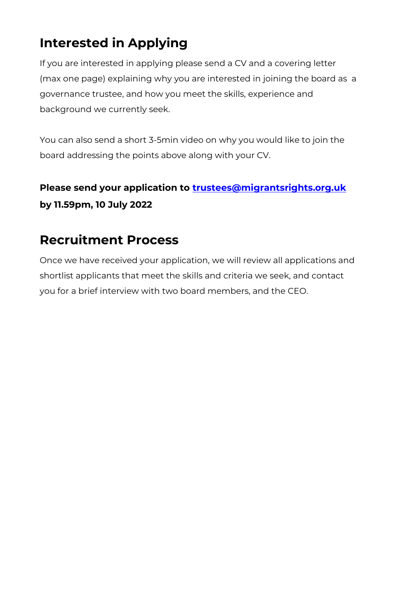## **Interested in Applying**

If you are interested in applying please send a CV and a covering letter (max one page) explaining why you are interested in joining the board as a governance trustee, and how you meet the skills, experience and background we currently seek.

You can also send a short 3-5min video on why you would like to join the board addressing the points above along with your CV.

#### **Please send your application to [trustees@migrantsrights.org.uk](mailto:trustees@migrantsrights.org.uk) by 11.59pm, 10 July 2022**

### **Recruitment Process**

Once we have received your application, we will review all applications and shortlist applicants that meet the skills and criteria we seek, and contact you for a brief interview with two board members, and the CEO.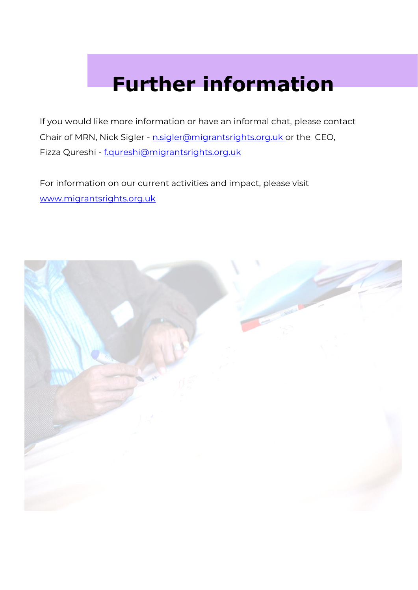## **Further information**

If you would like more information or have an informal chat, please contact Chair of MRN, Nick Sigler - [n.sigler@migrantsrights.org.uk o](mailto:n.sigler@migrantsrights.org.uk)r the CEO, Fizza Qureshi - [f.qureshi@migrantsrights.org.uk](mailto:f.qureshi@migrantsrights.org.uk)

For information on our current activities and impact, please visit [www.migrantsrights.org.uk](http://www.migrantsrights.org.uk/)